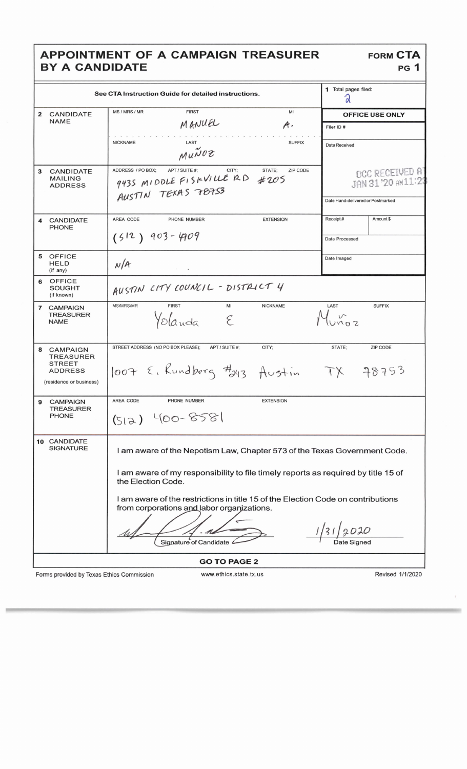## APPOINTMENT OF A CAMPAIGN TREASURER<br>BY A CANDIDATE

| See CTA Instruction Guide for detailed instructions. |                                                                                                                                                                                                                                                                                                                                                                                      |                                                                                                                           |                                                                                   | 1 Total pages filed:<br>Q |  |
|------------------------------------------------------|--------------------------------------------------------------------------------------------------------------------------------------------------------------------------------------------------------------------------------------------------------------------------------------------------------------------------------------------------------------------------------------|---------------------------------------------------------------------------------------------------------------------------|-----------------------------------------------------------------------------------|---------------------------|--|
| $\overline{2}$                                       | <b>CANDIDATE</b>                                                                                                                                                                                                                                                                                                                                                                     | MS / MRS / MR<br><b>FIRST</b><br>Mi                                                                                       |                                                                                   | <b>OFFICE USE ONLY</b>    |  |
|                                                      | <b>NAME</b>                                                                                                                                                                                                                                                                                                                                                                          | MANUEL<br>$\mathcal{A}$ .                                                                                                 | Filer ID#                                                                         |                           |  |
|                                                      |                                                                                                                                                                                                                                                                                                                                                                                      | <b>NICKNAME</b><br>LAST<br><b>SUFFIX</b><br>Munoz                                                                         | <b>Date Received</b>                                                              |                           |  |
| 3                                                    | <b>CANDIDATE</b><br><b>MAILING</b><br><b>ADDRESS</b>                                                                                                                                                                                                                                                                                                                                 | ADDRESS / PO BOX:<br>CITY;<br>STATE;<br>ZIP CODE<br>APT / SUITE #:<br>943S MIDDLE FISKVILLE RD #205<br>AUSTIN TEXAS 78753 | <b>OCC RECEIVED AT</b><br>JAN 31 '20 AM11:23<br>Date Hand-delivered or Postmarked |                           |  |
|                                                      | <b>CANDIDATE</b>                                                                                                                                                                                                                                                                                                                                                                     | AREA CODE<br>PHONE NUMBER<br><b>EXTENSION</b>                                                                             | Receipt#                                                                          | Amount \$                 |  |
|                                                      | <b>PHONE</b>                                                                                                                                                                                                                                                                                                                                                                         | $(512)$ 903-4709                                                                                                          | <b>Date Processed</b>                                                             |                           |  |
| 5                                                    | <b>OFFICE</b><br><b>HELD</b><br>(if any)                                                                                                                                                                                                                                                                                                                                             | N/A<br>$\mathbb{R}$ and $\mathbb{R}$                                                                                      | Date Imaged                                                                       |                           |  |
| 6                                                    | OFFICE<br>SOUGHT<br>(if known)                                                                                                                                                                                                                                                                                                                                                       | AUSTIN CITY COUNCIL - DISTRICT 4                                                                                          |                                                                                   |                           |  |
|                                                      | 7 CAMPAIGN<br><b>TREASURER</b><br><b>NAME</b>                                                                                                                                                                                                                                                                                                                                        | <b>MS/MRS/MR</b><br><b>FIRST</b><br>MI<br><b>NICKNAME</b><br>Yolanda<br>$\mathcal{E}_{\mathcal{C}}$                       | LAST                                                                              | <b>SUFFIX</b>             |  |
| 8                                                    | <b>CAMPAIGN</b><br><b>TREASURER</b><br><b>STREET</b><br><b>ADDRESS</b><br>(residence or business)                                                                                                                                                                                                                                                                                    | STREET ADDRESS (NO PO BOX PLEASE);<br>CITY;<br>APT / SUITE #:<br>1007 E. Rundberg #243 Austin TX 78753                    | STATE;                                                                            | <b>ZIP CODE</b>           |  |
| 9                                                    | <b>CAMPAIGN</b><br><b>TREASURER</b><br><b>PHONE</b>                                                                                                                                                                                                                                                                                                                                  | AREA CODE<br>PHONE NUMBER<br><b>EXTENSION</b><br>$(512)$ 400-8581                                                         |                                                                                   |                           |  |
|                                                      | 10 CANDIDATE<br><b>SIGNATURE</b><br>I am aware of the Nepotism Law, Chapter 573 of the Texas Government Code.<br>I am aware of my responsibility to file timely reports as required by title 15 of<br>the Election Code.<br>I am aware of the restrictions in title 15 of the Election Code on contributions<br>from corporations and labor organizations.<br>Signature of Candidate |                                                                                                                           |                                                                                   |                           |  |
| <b>GO TO PAGE 2</b>                                  |                                                                                                                                                                                                                                                                                                                                                                                      |                                                                                                                           |                                                                                   |                           |  |

Forms provided by Texas Ethics Commission

www.ethics.state.tx.us

Revised 1/1/2020